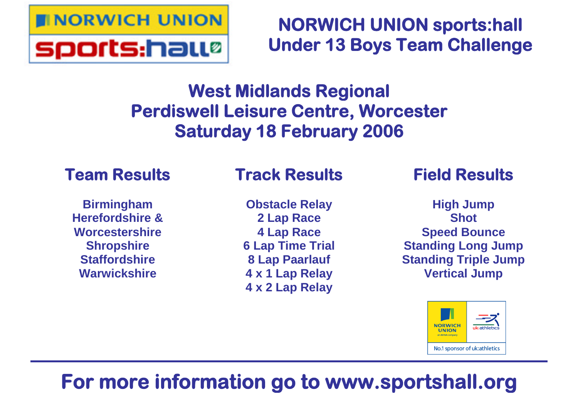

# **NORWICH UNION sports:hall Under 13 Boys Team Challenge**

# **West Midlands Regional Perdiswell Leisure Centre, Worcester Saturday 18 February 2006**

# **Team Results**

**Birmingham Herefordshire & Worcestershire Shropshire Staffordshire Warwickshire**

# **Track Results**

**Obstacle Relay 2 Lap Race 4 Lap Race 6 Lap Time Trial 8 Lap Paarlauf 4 x 1 Lap Relay 4 x 2 Lap Relay**

# **Field Results**

**High Jump Shot Speed Bounce Standing Long Jump Standing Triple Jump Vertical Jump**



# **For more information go to www.sportshall.org**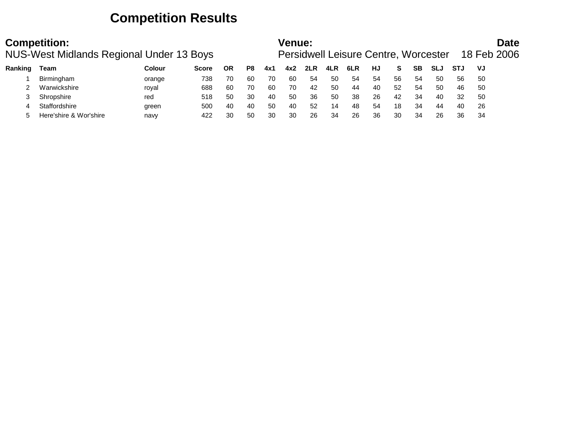## **Competition Results**

|         | <b>Competition:</b><br>NUS-West Midlands Regional Under 13 Boys |        |              |           |    |     | Venue: |     |     | <b>Persidwell Leisure Centre, Worcester</b> |    |    |    |            |            |     | <b>Date</b><br>18 Feb 2006 |
|---------|-----------------------------------------------------------------|--------|--------------|-----------|----|-----|--------|-----|-----|---------------------------------------------|----|----|----|------------|------------|-----|----------------------------|
| Ranking | Team                                                            | Colour | <b>Score</b> | <b>OR</b> | P8 | 4x1 | 4x2    | 2LR | 4LR | 6LR                                         | HJ | S. | SВ | <b>SLJ</b> | <b>STJ</b> | VJ  |                            |
|         | Birmingham                                                      | orange | 738          | 70        | 60 | 70  | 60     | 54  | 50  | 54                                          | 54 | 56 | 54 | 50         | 56         | -50 |                            |
|         | Warwickshire                                                    | royal  | 688          | 60        | 70 | 60  | 70     | 42  | 50  | 44                                          | 40 | 52 | 54 | 50         | 46         | -50 |                            |
|         | Shropshire                                                      | red    | 518          | 50        | 30 | 40  | 50     | 36  | 50  | 38                                          | 26 | 42 | 34 | 40         | 32         | -50 |                            |
|         | Staffordshire                                                   | green  | 500          | 40        | 40 | 50  | 40     | 52  | 14  | 48                                          | 54 | 18 | 34 | 44         | 40         | -26 |                            |
|         | Here'shire & Wor'shire                                          | navy   | 422          | 30        | 50 | 30  | 30     | 26  | 34  | 26                                          | 36 | 30 | 34 | 26         | 36         | 34  |                            |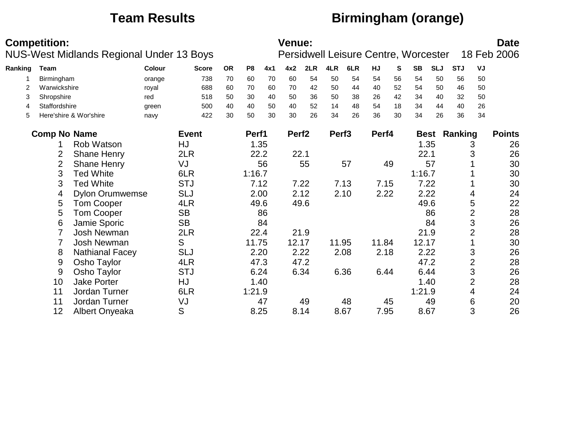# **Team Results Birmingham (orange)**

|         | <b>Competition:</b> | NUS-West Midlands Regional Under 13 Boys |        |              |           |                |      | <b>Venue:</b>     |      |                   |      |       |    | Persidwell Leisure Centre, Worcester |            |                     |                | <b>Date</b><br>18 Feb 2006 |
|---------|---------------------|------------------------------------------|--------|--------------|-----------|----------------|------|-------------------|------|-------------------|------|-------|----|--------------------------------------|------------|---------------------|----------------|----------------------------|
| Ranking | Team                |                                          | Colour | <b>Score</b> | <b>OR</b> | P <sub>8</sub> | 4x1  | 4x2               | 2LR  | 4LR               | 6LR  | HJ    | S  | <b>SB</b>                            | <b>SLJ</b> | <b>STJ</b>          | VJ             |                            |
|         | Birmingham          |                                          | orange | 738          | 70        | 60             | 70   | 60                | 54   | 50                | 54   | 54    | 56 | 54                                   | 50         | 56                  | 50             |                            |
| 2       | Warwickshire        |                                          | royal  | 688          | 60        | 70             | 60   | 70                | 42   | 50                | 44   | 40    | 52 | 54                                   | 50         | 46                  | 50             |                            |
| 3       | Shropshire          |                                          | red    | 518          | 50        | 30             | 40   | 50                | 36   | 50                | 38   | 26    | 42 | 34                                   | 40         | 32                  | 50             |                            |
| 4       | Staffordshire       |                                          | green  | 500          | 40        | 40             | 50   | 40                | 52   | 14                | 48   | 54    | 18 | 34                                   | 44         | 40                  | 26             |                            |
| 5       |                     | Here'shire & Wor'shire                   | navy   | 422          | 30        | 50             | 30   | 30                | 26   | 34                | 26   | 36    | 30 | 34                                   | 26         | 36                  | 34             |                            |
|         | <b>Comp No Name</b> |                                          |        | <b>Event</b> |           | Perf1          |      | Perf <sub>2</sub> |      | Perf <sub>3</sub> |      | Perf4 |    |                                      |            | <b>Best Ranking</b> |                | <b>Points</b>              |
|         |                     | Rob Watson                               |        | HJ           |           |                | 1.35 |                   |      |                   |      |       |    |                                      | 1.35       |                     | 3              | 26                         |
|         | $\overline{2}$      | Shane Henry                              |        | 2LR          |           |                | 22.2 | 22.1              |      |                   |      |       |    | 22.1                                 |            |                     | 3              | 26                         |
|         | $\overline{2}$      | <b>Shane Henry</b>                       |        | VJ           |           |                | 56   |                   | 55   |                   | 57   |       | 49 |                                      | 57         |                     |                | 30                         |
|         | 3                   | <b>Ted White</b>                         |        | 6LR          |           | 1:16.7         |      |                   |      |                   |      |       |    | 1:16.7                               |            |                     |                | 30                         |
|         | 3                   | <b>Ted White</b>                         |        | <b>STJ</b>   |           | 7.12           |      |                   | 7.22 |                   | 7.13 | 7.15  |    |                                      | 7.22       |                     |                | 30                         |
|         | 4                   | <b>Dylon Orumwemse</b>                   |        | <b>SLJ</b>   |           | 2.00           |      |                   | 2.12 |                   | 2.10 | 2.22  |    |                                      | 2.22       |                     | 4              | 24                         |
|         | 5                   | <b>Tom Cooper</b>                        |        | 4LR          |           | 49.6           |      |                   | 49.6 |                   |      |       |    |                                      | 49.6       |                     | 5              | 22                         |
|         | 5                   | <b>Tom Cooper</b>                        |        | <b>SB</b>    |           |                | 86   |                   |      |                   |      |       |    |                                      | 86         |                     | $\overline{2}$ | 28                         |
|         | 6                   | Jamie Sporic                             |        | <b>SB</b>    |           |                | 84   |                   |      |                   |      |       |    |                                      | 84         |                     | 3              | 26                         |
|         |                     | Josh Newman                              |        | 2LR          |           |                | 22.4 |                   | 21.9 |                   |      |       |    |                                      | 21.9       |                     | $\overline{2}$ | 28                         |
|         |                     | Josh Newman                              |        | S            |           | 11.75          |      | 12.17             |      | 11.95             |      | 11.84 |    | 12.17                                |            |                     |                | 30                         |
|         | 8                   | <b>Nathianal Facey</b>                   |        | <b>SLJ</b>   |           | 2.20           |      | 2.22              |      |                   | 2.08 | 2.18  |    |                                      | 2.22       |                     | 3              | 26                         |
|         | 9                   | Osho Taylor                              |        | 4LR          |           | 47.3           |      |                   | 47.2 |                   |      |       |    |                                      | 47.2       |                     | $\overline{2}$ | 28                         |
|         | 9                   | Osho Taylor                              |        | <b>STJ</b>   |           | 6.24           |      |                   | 6.34 |                   | 6.36 | 6.44  |    |                                      | 6.44       |                     | 3              | 26                         |
|         | 10                  | Jake Porter                              |        | HJ           |           |                | 1.40 |                   |      |                   |      |       |    |                                      | 1.40       |                     | $\overline{2}$ | 28                         |
|         | 11                  | Jordan Turner                            |        | 6LR          |           | 1:21.9         |      |                   |      |                   |      |       |    | 1:21.9                               |            |                     | 4              | 24                         |
|         | 11                  | Jordan Turner                            |        | VJ           |           |                | 47   |                   | 49   |                   | 48   |       | 45 |                                      | 49         |                     | 6              | 20                         |
|         | 12                  | Albert Onyeaka                           |        | S            |           | 8.25           |      |                   | 8.14 |                   | 8.67 | 7.95  |    |                                      | 8.67       |                     | 3              | 26                         |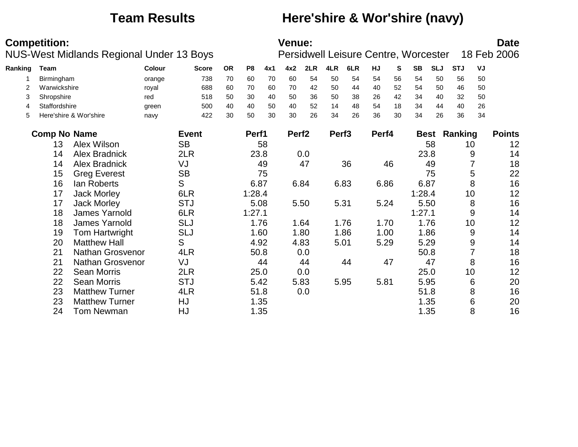## **Team Results Here'shire & Wor'shire (navy)**

|         | <b>Competition:</b> | NUS-West Midlands Regional Under 13 Boys |                 |              |           |                |      | <b>Venue:</b>     |      |                   |      |           |    | Persidwell Leisure Centre, Worcester |            |                     |    | <b>Date</b><br>18 Feb 2006 |
|---------|---------------------|------------------------------------------|-----------------|--------------|-----------|----------------|------|-------------------|------|-------------------|------|-----------|----|--------------------------------------|------------|---------------------|----|----------------------------|
| Ranking | <b>Team</b>         |                                          | Colour          | <b>Score</b> | <b>OR</b> | P <sub>8</sub> | 4x1  | 4x2               | 2LR  | 4LR               | 6LR  | <b>HJ</b> | S. | <b>SB</b>                            | <b>SLJ</b> | <b>STJ</b>          | VJ |                            |
|         | Birmingham          |                                          |                 | 738          | 70        | 60             | 70   | 60                | 54   | 50                | 54   | 54        | 56 | 54                                   | 50         | 56                  | 50 |                            |
| 2       | Warwickshire        |                                          | orange<br>royal | 688          | 60        | 70             | 60   | 70                | 42   | 50                | 44   | 40        | 52 | 54                                   | 50         | 46                  | 50 |                            |
| 3       | Shropshire          |                                          | red             | 518          | 50        | 30             | 40   | 50                | 36   | 50                | 38   | 26        | 42 | 34                                   | 40         | 32                  | 50 |                            |
| 4       | Staffordshire       |                                          | green           | 500          | 40        | 40             | 50   | 40                | 52   | 14                | 48   | 54        | 18 | 34                                   | 44         | 40                  | 26 |                            |
| 5       |                     | Here'shire & Wor'shire                   | navy            | 422          | 30        | 50             | 30   | 30                | 26   | 34                | 26   | 36        | 30 | 34                                   | 26         | 36                  | 34 |                            |
|         | <b>Comp No Name</b> |                                          |                 | <b>Event</b> |           | Perf1          |      | Perf <sub>2</sub> |      | Perf <sub>3</sub> |      | Perf4     |    |                                      |            | <b>Best Ranking</b> |    | <b>Points</b>              |
|         | 13                  | Alex Wilson                              |                 | <b>SB</b>    |           |                | 58   |                   |      |                   |      |           |    |                                      | 58         | 10                  |    | 12                         |
|         | 14                  | <b>Alex Bradnick</b>                     |                 | 2LR          |           |                | 23.8 |                   | 0.0  |                   |      |           |    |                                      | 23.8       |                     | 9  | 14                         |
|         | 14                  | <b>Alex Bradnick</b>                     |                 | VJ           |           |                | 49   |                   | 47   |                   | 36   |           | 46 |                                      | 49         |                     |    | 18                         |
|         | 15                  | <b>Greg Everest</b>                      |                 | <b>SB</b>    |           |                | 75   |                   |      |                   |      |           |    |                                      | 75         |                     | 5  | 22                         |
|         | 16                  | lan Roberts                              |                 | S            |           | 6.87           |      |                   | 6.84 |                   | 6.83 | 6.86      |    |                                      | 6.87       |                     | 8  | 16                         |
|         | 17                  | <b>Jack Morley</b>                       |                 | 6LR          |           | 1:28.4         |      |                   |      |                   |      |           |    | 1:28.4                               |            | 10                  |    | 12                         |
|         | 17                  | <b>Jack Morley</b>                       |                 | <b>STJ</b>   |           | 5.08           |      |                   | 5.50 |                   | 5.31 | 5.24      |    |                                      | 5.50       |                     | 8  | 16                         |
|         | 18                  | James Yarnold                            |                 | 6LR          |           | 1:27.1         |      |                   |      |                   |      |           |    | 1:27.1                               |            |                     | 9  | 14                         |
|         | 18                  | James Yarnold                            |                 | <b>SLJ</b>   |           |                | 1.76 |                   | 1.64 |                   | 1.76 | 1.70      |    |                                      | 1.76       | 10                  |    | 12                         |
|         | 19                  | Tom Hartwright                           |                 | <b>SLJ</b>   |           |                | 1.60 |                   | 1.80 |                   | 1.86 | 1.00      |    |                                      | 1.86       |                     | 9  | 14                         |
|         | 20                  | <b>Matthew Hall</b>                      |                 | S            |           |                | 4.92 |                   | 4.83 |                   | 5.01 | 5.29      |    |                                      | 5.29       |                     | 9  | 14                         |
|         | 21                  | Nathan Grosvenor                         |                 | 4LR          |           |                | 50.8 |                   | 0.0  |                   |      |           |    |                                      | 50.8       |                     |    | 18                         |
|         | 21                  | Nathan Grosvenor                         |                 | VJ           |           |                | 44   |                   | 44   |                   | 44   |           | 47 |                                      | 47         |                     | 8  | 16                         |
|         | 22                  | <b>Sean Morris</b>                       |                 | 2LR          |           |                | 25.0 |                   | 0.0  |                   |      |           |    |                                      | 25.0       | 10                  |    | 12                         |
|         | 22                  | <b>Sean Morris</b>                       |                 | <b>STJ</b>   |           |                | 5.42 |                   | 5.83 |                   | 5.95 | 5.81      |    |                                      | 5.95       |                     | 6  | 20                         |
|         | 23                  | <b>Matthew Turner</b>                    |                 | 4LR          |           | 51.8           |      |                   | 0.0  |                   |      |           |    |                                      | 51.8       |                     | 8  | 16                         |
|         | 23                  | <b>Matthew Turner</b>                    |                 | HJ           |           |                | 1.35 |                   |      |                   |      |           |    |                                      | 1.35       |                     | 6  | 20                         |
|         | 24                  | <b>Tom Newman</b>                        |                 | HJ           |           |                | 1.35 |                   |      |                   |      |           |    |                                      | 1.35       |                     | 8  | 16                         |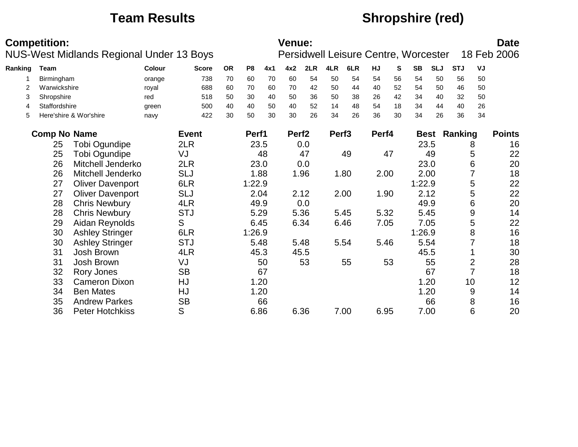## **Team Results Shropshire (red)**

|         | <b>Competition:</b> | <b>NUS-West Midlands Regional Under 13 Boys</b> |        |              |           |                |      | Venue:            |      |                   |      |       |    | Persidwell Leisure Centre, Worcester |            |                     |                | <b>Date</b><br>18 Feb 2006 |
|---------|---------------------|-------------------------------------------------|--------|--------------|-----------|----------------|------|-------------------|------|-------------------|------|-------|----|--------------------------------------|------------|---------------------|----------------|----------------------------|
| Ranking | Team                |                                                 | Colour | <b>Score</b> | <b>OR</b> | P <sub>8</sub> | 4x1  | 4x2               | 2LR  | 4LR               | 6LR  | HJ    | S  | <b>SB</b>                            | <b>SLJ</b> | <b>STJ</b>          | VJ             |                            |
|         | Birmingham          |                                                 | orange | 738          | 70        | 60             | 70   | 60                | 54   | 50                | 54   | 54    | 56 | 54                                   | 50         | 56                  | 50             |                            |
| 2       | Warwickshire        |                                                 | royal  | 688          | 60        | 70             | 60   | 70                | 42   | 50                | 44   | 40    | 52 | 54                                   | 50         | 46                  | 50             |                            |
| 3       | Shropshire          |                                                 | red    | 518          | 50        | 30             | 40   | 50                | 36   | 50                | 38   | 26    | 42 | 34                                   | 40         | 32                  | 50             |                            |
| 4       | Staffordshire       |                                                 | green  | 500          | 40        | 40             | 50   | 40                | 52   | 14                | 48   | 54    | 18 | 34                                   | 44         | 40                  | 26             |                            |
| 5       |                     | Here'shire & Wor'shire                          | navy   | 422          | 30        | 50             | 30   | 30                | 26   | 34                | 26   | 36    | 30 | 34                                   | 26         | 36                  | 34             |                            |
|         | <b>Comp No Name</b> |                                                 |        | <b>Event</b> |           | Perf1          |      | Perf <sub>2</sub> |      | Perf <sub>3</sub> |      | Perf4 |    |                                      |            | <b>Best Ranking</b> |                | <b>Points</b>              |
|         | 25                  | Tobi Ogundipe                                   |        | 2LR          |           |                | 23.5 |                   | 0.0  |                   |      |       |    |                                      | 23.5       |                     | 8              | 16                         |
|         | 25                  | Tobi Ogundipe                                   |        | VJ           |           |                | 48   |                   | 47   |                   | 49   |       | 47 |                                      | 49         |                     | 5              | 22                         |
|         | 26                  | Mitchell Jenderko                               |        | 2LR          |           | 23.0           |      |                   | 0.0  |                   |      |       |    |                                      | 23.0       |                     | 6              | 20                         |
|         | 26                  | Mitchell Jenderko                               |        | <b>SLJ</b>   |           |                | 1.88 |                   | 1.96 |                   | 1.80 | 2.00  |    |                                      | 2.00       |                     | 7              | 18                         |
|         | 27                  | <b>Oliver Davenport</b>                         |        | 6LR          |           | 1:22.9         |      |                   |      |                   |      |       |    | 1:22.9                               |            |                     | 5              | 22                         |
|         | 27                  | <b>Oliver Davenport</b>                         |        | <b>SLJ</b>   |           |                | 2.04 |                   | 2.12 |                   | 2.00 | 1.90  |    |                                      | 2.12       |                     | 5              | 22                         |
|         | 28                  | <b>Chris Newbury</b>                            |        | 4LR          |           | 49.9           |      |                   | 0.0  |                   |      |       |    |                                      | 49.9       |                     | 6              | 20                         |
|         | 28                  | <b>Chris Newbury</b>                            |        | <b>STJ</b>   |           | 5.29           |      |                   | 5.36 |                   | 5.45 | 5.32  |    |                                      | 5.45       |                     | 9              | 14                         |
|         | 29                  | Aidan Reynolds                                  |        | S            |           | 6.45           |      |                   | 6.34 |                   | 6.46 | 7.05  |    |                                      | 7.05       |                     | 5              | 22                         |
|         | 30                  | <b>Ashley Stringer</b>                          |        | 6LR          |           | 1:26.9         |      |                   |      |                   |      |       |    | 1:26.9                               |            |                     | 8              | 16                         |
|         | 30                  | <b>Ashley Stringer</b>                          |        | <b>STJ</b>   |           | 5.48           |      |                   | 5.48 |                   | 5.54 | 5.46  |    |                                      | 5.54       |                     |                | 18                         |
|         | 31                  | Josh Brown                                      |        | 4LR          |           | 45.3           |      |                   | 45.5 |                   |      |       |    |                                      | 45.5       |                     |                | 30                         |
|         | 31                  | Josh Brown                                      |        | VJ           |           |                | 50   |                   | 53   |                   | 55   |       | 53 |                                      | 55         |                     | $\overline{2}$ | 28                         |
|         | 32                  | Rory Jones                                      |        | <b>SB</b>    |           |                | 67   |                   |      |                   |      |       |    |                                      | 67         |                     | $\overline{7}$ | 18                         |
|         | 33                  | <b>Cameron Dixon</b>                            |        | HJ           |           |                | 1.20 |                   |      |                   |      |       |    |                                      | 1.20       |                     | 10             | 12                         |
|         | 34                  | <b>Ben Mates</b>                                |        | HJ           |           |                | 1.20 |                   |      |                   |      |       |    |                                      | 1.20       |                     | 9              | 14                         |
|         | 35                  | <b>Andrew Parkes</b>                            |        | <b>SB</b>    |           |                | 66   |                   |      |                   |      |       |    |                                      | 66         |                     | 8              | 16                         |
|         | 36                  | <b>Peter Hotchkiss</b>                          |        | S            |           | 6.86           |      |                   | 6.36 |                   | 7.00 | 6.95  |    |                                      | 7.00       |                     | 6              | 20                         |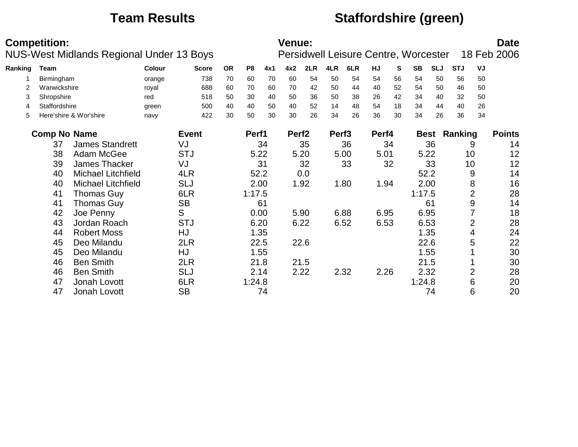## **Team Results Staffordshire (green)**

|         | <b>Competition:</b> |                                          |        |              |           |                |      | <b>Venue:</b>     |      |                   |      |       |    |                                      |             |            |                | <b>Date</b><br>18 Feb 2006 |
|---------|---------------------|------------------------------------------|--------|--------------|-----------|----------------|------|-------------------|------|-------------------|------|-------|----|--------------------------------------|-------------|------------|----------------|----------------------------|
|         |                     | NUS-West Midlands Regional Under 13 Boys |        |              |           |                |      |                   |      |                   |      |       |    | Persidwell Leisure Centre, Worcester |             |            |                |                            |
| Ranking | <b>Team</b>         |                                          | Colour | <b>Score</b> | <b>OR</b> | P <sub>8</sub> | 4x1  | 4x2               | 2LR  | 4LR               | 6LR  | HJ    | S  | <b>SB</b>                            | <b>SLJ</b>  | <b>STJ</b> | VJ             |                            |
|         | Birmingham          |                                          | orange | 738          | 70        | 60             | 70   | 60                | 54   | 50                | 54   | 54    | 56 | 54                                   | 50          | 56         | 50             |                            |
| 2       | Warwickshire        |                                          | royal  | 688          | 60        | 70             | 60   | 70                | 42   | 50                | 44   | 40    | 52 | 54                                   | 50          | 46         | 50             |                            |
| 3       | Shropshire          |                                          | red    | 518          | 50        | 30             | 40   | 50                | 36   | 50                | 38   | 26    | 42 | 34                                   | 40          | 32         | 50             |                            |
| 4       | Staffordshire       |                                          | green  | 500          | 40        | 40             | 50   | 40                | 52   | 14                | 48   | 54    | 18 | 34                                   | 44          | 40         | 26             |                            |
| 5       |                     | Here'shire & Wor'shire                   | navy   | 422          | 30        | 50             | 30   | 30                | 26   | 34                | 26   | 36    | 30 | 34                                   | 26          | 36         | 34             |                            |
|         | <b>Comp No Name</b> |                                          |        | <b>Event</b> |           | Perf1          |      | Perf <sub>2</sub> |      | Perf <sub>3</sub> |      | Perf4 |    |                                      | <b>Best</b> | Ranking    |                | <b>Points</b>              |
|         | 37                  | <b>James Standrett</b>                   |        | VJ           |           |                | 34   |                   | 35   |                   | 36   |       | 34 |                                      | 36          |            | 9              | 14                         |
|         | 38                  | Adam McGee                               |        | <b>STJ</b>   |           |                | 5.22 |                   | 5.20 |                   | 5.00 | 5.01  |    |                                      | 5.22        | 10         |                | 12                         |
|         | 39                  | James Thacker                            |        | VJ           |           |                | 31   |                   | 32   |                   | 33   |       | 32 |                                      | 33          | 10         |                | 12                         |
|         | 40                  | Michael Litchfield                       |        | 4LR          |           |                | 52.2 |                   | 0.0  |                   |      |       |    |                                      | 52.2        |            | 9              | 14                         |
|         | 40                  | <b>Michael Litchfield</b>                |        | <b>SLJ</b>   |           |                | 2.00 |                   | 1.92 |                   | 1.80 | 1.94  |    |                                      | 2.00        |            | 8              | 16                         |
|         | 41                  | <b>Thomas Guy</b>                        |        | 6LR          |           | 1:17.5         |      |                   |      |                   |      |       |    | 1:17.5                               |             |            | $\overline{2}$ | 28                         |
|         | 41                  | <b>Thomas Guy</b>                        |        | <b>SB</b>    |           |                | 61   |                   |      |                   |      |       |    |                                      | 61          |            | 9              | 14                         |
|         | 42                  | Joe Penny                                |        | S            |           |                | 0.00 |                   | 5.90 |                   | 6.88 | 6.95  |    |                                      | 6.95        |            |                | 18                         |
|         | 43                  | Jordan Roach                             |        | <b>STJ</b>   |           |                | 6.20 |                   | 6.22 |                   | 6.52 | 6.53  |    |                                      | 6.53        |            | $\overline{2}$ | 28                         |
|         | 44                  | <b>Robert Moss</b>                       |        | HJ           |           |                | 1.35 |                   |      |                   |      |       |    |                                      | 1.35        |            | 4              | 24                         |
|         | 45                  | Deo Milandu                              |        | 2LR          |           |                | 22.5 |                   | 22.6 |                   |      |       |    |                                      | 22.6        |            | 5              | 22                         |
|         | 45                  | Deo Milandu                              |        | HJ           |           |                | 1.55 |                   |      |                   |      |       |    |                                      | 1.55        |            |                | 30                         |
|         | 46                  | <b>Ben Smith</b>                         |        | 2LR          |           |                | 21.8 |                   | 21.5 |                   |      |       |    |                                      | 21.5        |            |                | 30                         |
|         | 46                  | <b>Ben Smith</b>                         |        | <b>SLJ</b>   |           |                | 2.14 |                   | 2.22 |                   | 2.32 | 2.26  |    |                                      | 2.32        |            | 2              | 28                         |
|         | 47                  | Jonah Lovott                             |        | 6LR          |           | 1:24.8         |      |                   |      |                   |      |       |    | 1:24.8                               |             |            | 6              | 20                         |
|         | 47                  | Jonah Lovott                             |        | <b>SB</b>    |           |                | 74   |                   |      |                   |      |       |    |                                      | 74          |            | 6              | 20                         |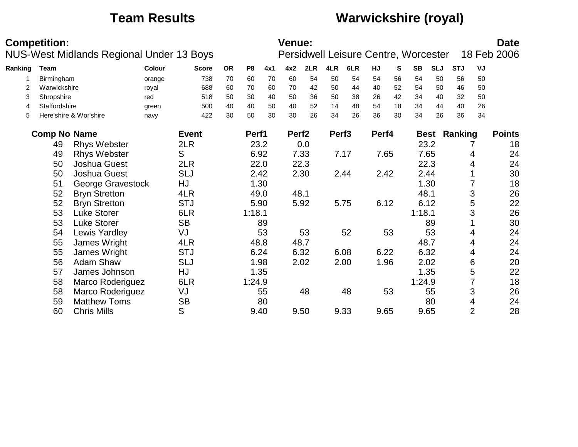## **Team Results Warwickshire (royal)**

|         | <b>Competition:</b> | NUS-West Midlands Regional Under 13 Boys |        |              |           |                |      | <b>Venue:</b>     |      |                   |      |       |    | Persidwell Leisure Centre, Worcester |            |                     |                | <b>Date</b><br>18 Feb 2006 |
|---------|---------------------|------------------------------------------|--------|--------------|-----------|----------------|------|-------------------|------|-------------------|------|-------|----|--------------------------------------|------------|---------------------|----------------|----------------------------|
| Ranking | Team                |                                          | Colour | <b>Score</b> | <b>OR</b> | P <sub>8</sub> | 4x1  | 4x2               | 2LR  | 4LR               | 6LR  | HJ    | S  | <b>SB</b>                            | <b>SLJ</b> | <b>STJ</b>          | VJ             |                            |
|         | Birmingham          |                                          | orange | 738          | 70        | 60             | 70   | 60                | 54   | 50                | 54   | 54    | 56 | 54                                   | 50         | 56                  | 50             |                            |
| 2       | Warwickshire        |                                          | royal  | 688          | 60        | 70             | 60   | 70                | 42   | 50                | 44   | 40    | 52 | 54                                   | 50         | 46                  | 50             |                            |
| 3       | Shropshire          |                                          | red    | 518          | 50        | 30             | 40   | 50                | 36   | 50                | 38   | 26    | 42 | 34                                   | 40         | 32                  | 50             |                            |
| 4       | Staffordshire       |                                          | green  | 500          | 40        | 40             | 50   | 40                | 52   | 14                | 48   | 54    | 18 | 34                                   | 44         | 40                  | 26             |                            |
| 5       |                     | Here'shire & Wor'shire                   | navy   | 422          | 30        | 50             | 30   | 30                | 26   | 34                | 26   | 36    | 30 | 34                                   | 26         | 36                  | 34             |                            |
|         | <b>Comp No Name</b> |                                          |        | <b>Event</b> |           | Perf1          |      | Perf <sub>2</sub> |      | Perf <sub>3</sub> |      | Perf4 |    |                                      |            | <b>Best Ranking</b> |                | <b>Points</b>              |
|         | 49                  | <b>Rhys Webster</b>                      |        | 2LR          |           | 23.2           |      |                   | 0.0  |                   |      |       |    |                                      | 23.2       |                     |                | 18                         |
|         | 49                  | <b>Rhys Webster</b>                      |        | S            |           | 6.92           |      |                   | 7.33 |                   | 7.17 | 7.65  |    |                                      | 7.65       |                     | 4              | 24                         |
|         | 50                  | Joshua Guest                             |        | 2LR          |           |                | 22.0 |                   | 22.3 |                   |      |       |    |                                      | 22.3       |                     | 4              | 24                         |
|         | 50                  | Joshua Guest                             |        | <b>SLJ</b>   |           | 2.42           |      |                   | 2.30 |                   | 2.44 | 2.42  |    |                                      | 2.44       |                     |                | 30                         |
|         | 51                  | George Gravestock                        |        | HJ           |           |                | 1.30 |                   |      |                   |      |       |    |                                      | 1.30       |                     |                | 18                         |
|         | 52                  | <b>Bryn Stretton</b>                     |        | 4LR          |           | 49.0           |      | 48.1              |      |                   |      |       |    | 48.1                                 |            |                     | 3              | 26                         |
|         | 52                  | <b>Bryn Stretton</b>                     |        | <b>STJ</b>   |           | 5.90           |      |                   | 5.92 |                   | 5.75 | 6.12  |    |                                      | 6.12       |                     | 5              | 22                         |
|         | 53                  | <b>Luke Storer</b>                       |        | 6LR          |           | 1:18.1         |      |                   |      |                   |      |       |    | 1:18.1                               |            |                     | 3              | 26                         |
|         | 53                  | <b>Luke Storer</b>                       |        | <b>SB</b>    |           |                | 89   |                   |      |                   |      |       |    |                                      | 89         |                     |                | 30                         |
|         | 54                  | Lewis Yardley                            |        | VJ           |           |                | 53   |                   | 53   |                   | 52   |       | 53 |                                      | 53         |                     | 4              | 24                         |
|         | 55                  | James Wright                             |        | 4LR          |           | 48.8           |      |                   | 48.7 |                   |      |       |    |                                      | 48.7       |                     | 4              | 24                         |
|         | 55                  | James Wright                             |        | <b>STJ</b>   |           | 6.24           |      |                   | 6.32 |                   | 6.08 | 6.22  |    |                                      | 6.32       |                     | 4              | 24                         |
|         | 56                  | <b>Adam Shaw</b>                         |        | <b>SLJ</b>   |           |                | 1.98 |                   | 2.02 |                   | 2.00 | 1.96  |    |                                      | 2.02       |                     | 6              | 20                         |
|         | 57                  | James Johnson                            |        | HJ           |           |                | 1.35 |                   |      |                   |      |       |    |                                      | 1.35       |                     | 5              | 22                         |
|         | 58                  | Marco Roderiguez                         |        | 6LR          |           | 1:24.9         |      |                   |      |                   |      |       |    | 1:24.9                               |            |                     |                | 18                         |
|         | 58                  | Marco Roderiguez                         |        | VJ           |           |                | 55   |                   | 48   |                   | 48   |       | 53 |                                      | 55         |                     | 3              | 26                         |
|         | 59                  | <b>Matthew Toms</b>                      |        | <b>SB</b>    |           |                | 80   |                   |      |                   |      |       |    |                                      | 80         |                     | 4              | 24                         |
|         | 60                  | <b>Chris Mills</b>                       |        | S            |           |                | 9.40 |                   | 9.50 |                   | 9.33 | 9.65  |    |                                      | 9.65       |                     | $\overline{2}$ | 28                         |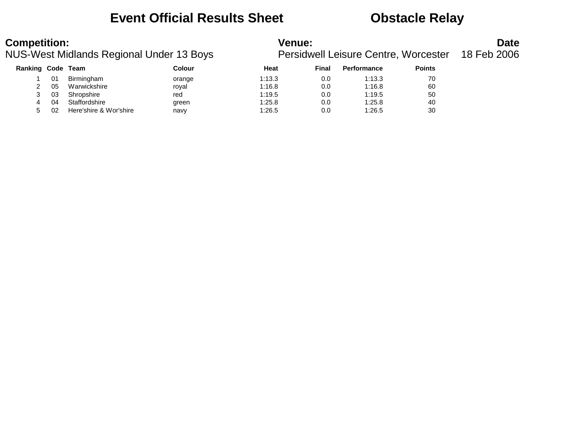### **Event Official Results Sheet Obstacle Relay**

| <b>Competition:</b> |  |  |
|---------------------|--|--|
|                     |  |  |

### NUS-West Midlands Regional Under 13 Boys

| <b>Competition:</b>                      | <b>Venue:</b>                                    | <b>Date</b> |
|------------------------------------------|--------------------------------------------------|-------------|
| NUS-West Midlands Regional Under 13 Boys | Persidwell Leisure Centre, Worcester 18 Feb 2006 |             |

| <b>Ranking Code</b> |    | Team                   | Colour | <b>Heat</b> | Final | <b>Performance</b> | <b>Points</b> |
|---------------------|----|------------------------|--------|-------------|-------|--------------------|---------------|
|                     | 01 | Birmingham             | orange | 1:13.3      | 0.0   | 1:13.3             | 70            |
| ົ                   | 05 | Warwickshire           | royal  | 1:16.8      | 0.0   | 1:16.8             | 60            |
| 3                   | 03 | Shropshire             | red    | 1:19.5      | 0.0   | 1:19.5             | 50            |
| 4                   | 04 | Staffordshire          | green  | 1:25.8      | 0.0   | 1:25.8             | 40            |
| 5                   | 02 | Here'shire & Wor'shire | navv   | 1:26.5      | 0.0   | 1:26.5             | 30            |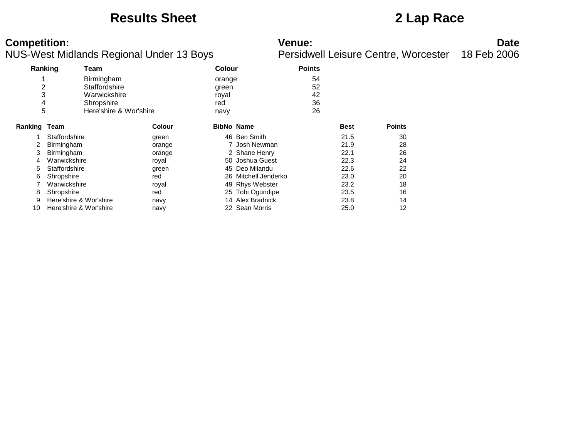### **Results Sheet 2 Lap Race**

|         | Ranking                | Team                   |        | <b>Colour</b> |                      | <b>Points</b> |             |               |
|---------|------------------------|------------------------|--------|---------------|----------------------|---------------|-------------|---------------|
|         |                        | Birmingham             |        | orange        |                      | 54            |             |               |
| 2       |                        | Staffordshire          |        | green         |                      | 52            |             |               |
| 3       |                        | Warwickshire           |        | royal         |                      | 42            |             |               |
| 4       |                        | Shropshire             |        | red           |                      | 36            |             |               |
| 5       |                        | Here'shire & Wor'shire |        | navy          |                      | 26            |             |               |
| Ranking | Team                   |                        | Colour |               | <b>BibNo Name</b>    |               | <b>Best</b> | <b>Points</b> |
|         | Staffordshire          |                        | green  |               | 46 Ben Smith         |               | 21.5        | 30            |
| 2       | <b>Birmingham</b>      |                        | orange |               | 7 Josh Newman        |               | 21.9        | 28            |
| 3       | Birmingham             |                        | orange |               | 2 Shane Henry        |               | 22.1        | 26            |
| 4       | Warwickshire           |                        | royal  |               | 50 Joshua Guest      |               | 22.3        | 24            |
| 5       | Staffordshire          |                        | green  |               | 45 Deo Milandu       |               | 22.6        | 22            |
| 6       | Shropshire             |                        | red    |               | 26 Mitchell Jenderko |               | 23.0        | 20            |
|         | Warwickshire           |                        | royal  |               | 49 Rhys Webster      |               | 23.2        | 18            |
| 8       | Shropshire             |                        | red    |               | 25 Tobi Ogundipe     |               | 23.5        | 16            |
| 9       | Here'shire & Wor'shire |                        | navy   |               | 14 Alex Bradnick     |               | 23.8        | 14            |
| 10      | Here'shire & Wor'shire |                        | navy   |               | 22 Sean Morris       |               | 25.0        | 12            |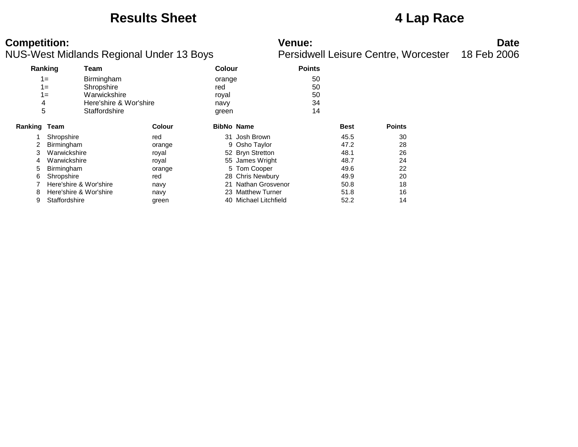### **Results Sheet 4 Lap Race**

|         | Ranking                | Team                   |               | <b>Colour</b>     |                       | <b>Points</b> |             |               |
|---------|------------------------|------------------------|---------------|-------------------|-----------------------|---------------|-------------|---------------|
|         | $1 =$                  | Birmingham             |               | orange            |                       | 50            |             |               |
|         | $1 =$                  | Shropshire             |               | red               |                       | 50            |             |               |
|         | $1 =$                  | Warwickshire           |               | royal             |                       | 50            |             |               |
| 4       |                        | Here'shire & Wor'shire |               | navy              |                       | 34            |             |               |
| 5       |                        | Staffordshire          |               | green             |                       | 14            |             |               |
| Ranking | Team                   |                        | <b>Colour</b> | <b>BibNo Name</b> |                       |               | <b>Best</b> | <b>Points</b> |
|         | Shropshire             |                        | red           |                   | 31 Josh Brown         |               | 45.5        | 30            |
|         | Birmingham             |                        | orange        |                   | 9 Osho Taylor         |               | 47.2        | 28            |
| 3       | Warwickshire           |                        | royal         |                   | 52 Bryn Stretton      |               | 48.1        | 26            |
| 4       | Warwickshire           |                        | royal         |                   | 55 James Wright       |               | 48.7        | 24            |
| 5       | <b>Birmingham</b>      |                        | orange        |                   | 5 Tom Cooper          |               | 49.6        | 22            |
| 6       | Shropshire             |                        | red           |                   | 28 Chris Newbury      |               | 49.9        | 20            |
|         | Here'shire & Wor'shire |                        | navy          |                   | 21 Nathan Grosvenor   |               | 50.8        | 18            |
| 8       | Here'shire & Wor'shire |                        | navy          |                   | 23 Matthew Turner     |               | 51.8        | 16            |
| 9       | Staffordshire          |                        | green         |                   | 40 Michael Litchfield |               | 52.2        | 14            |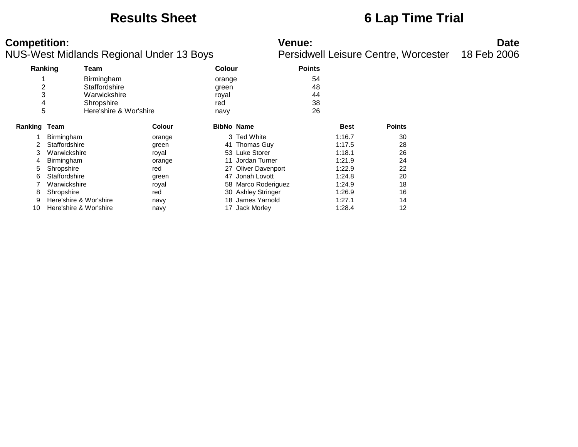### **Results Sheet 6 Lap Time Trial**

| Ranking      |                        | Team                   |               | <b>Colour</b>     |                     | <b>Points</b> |             |               |
|--------------|------------------------|------------------------|---------------|-------------------|---------------------|---------------|-------------|---------------|
|              |                        | Birmingham             |               | orange            |                     | 54            |             |               |
| 2            |                        | Staffordshire          |               | green             |                     | 48            |             |               |
| 3            |                        | Warwickshire           |               | royal             |                     | 44            |             |               |
| 4            |                        | Shropshire             |               | red               |                     | 38            |             |               |
| 5            |                        | Here'shire & Wor'shire |               | navy              |                     | 26            |             |               |
| Ranking Team |                        |                        | <b>Colour</b> | <b>BibNo Name</b> |                     |               | <b>Best</b> | <b>Points</b> |
|              | <b>Birmingham</b>      |                        | orange        |                   | 3 Ted White         |               | 1:16.7      | 30            |
|              | Staffordshire          |                        | green         |                   | 41 Thomas Guy       |               | 1:17.5      | 28            |
| 3            | Warwickshire           |                        | royal         |                   | 53 Luke Storer      |               | 1:18.1      | 26            |
| 4            | <b>Birmingham</b>      |                        | orange        |                   | Jordan Turner       |               | 1:21.9      | 24            |
| 5            | Shropshire             |                        | red           |                   | 27 Oliver Davenport |               | 1:22.9      | 22            |
| 6            | Staffordshire          |                        | green         | 47                | Jonah Lovott        |               | 1:24.8      | 20            |
|              | Warwickshire           |                        | royal         |                   | 58 Marco Roderiguez |               | 1:24.9      | 18            |
| 8            | Shropshire             |                        | red           |                   | 30 Ashley Stringer  |               | 1:26.9      | 16            |
| 9            | Here'shire & Wor'shire |                        | navy          | 18                | James Yarnold       |               | 1:27.1      | 14            |
| 10           | Here'shire & Wor'shire |                        | navy          | 17                | <b>Jack Morley</b>  |               | 1:28.4      | 12            |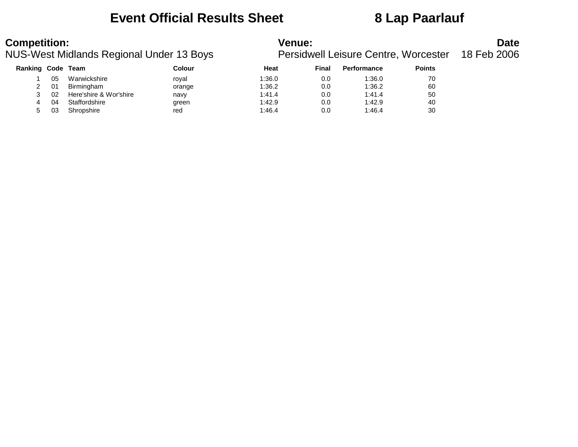### **Event Official Results Sheet 8 Lap Paarlauf**

### NUS-West Midlands Regional Under 13 Boys

| <b>Competition:</b>                      | <b>Venue:</b>                                    | <b>Date</b> |
|------------------------------------------|--------------------------------------------------|-------------|
| NUS-West Midlands Regional Under 13 Boys | Persidwell Leisure Centre, Worcester 18 Feb 2006 |             |

| Ranking Code Team |    |                        | Colour | <b>Heat</b> | Final | <b>Performance</b> | <b>Points</b> |
|-------------------|----|------------------------|--------|-------------|-------|--------------------|---------------|
|                   | 05 | Warwickshire           | roval  | 1:36.0      | 0.0   | 1:36.0             | 70            |
|                   | 01 | Birmingham             | orange | 1:36.2      | 0.0   | 1:36.2             | 60            |
|                   | 02 | Here'shire & Wor'shire | navy   | 1:41.4      | 0.0   | 1:41.4             | 50            |
| 4                 | 04 | Staffordshire          | green  | 1:42.9      | 0.0   | 1:42.9             | 40            |
|                   | 03 | Shropshire             | red    | 1:46.4      | 0.0   | 1:46.4             | 30            |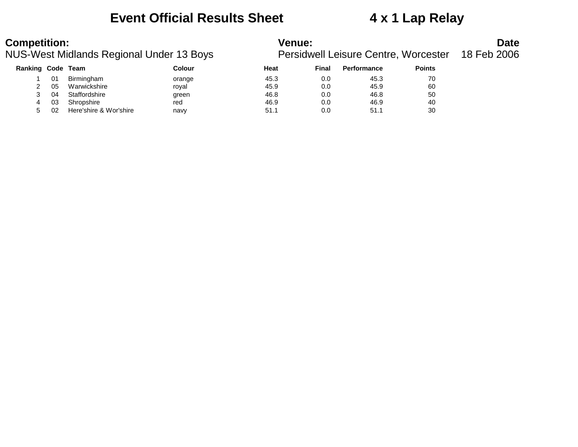### **Event Official Results Sheet 4 x 1 Lap Relay**

### **Competition:** Date

### NUS-West Midlands Regional Under 13 Boys Persidwell Leisure Centre, Worcester 18 Feb 2006

|                   | 23-YVESLIVIIUIDING NEGIONAL ONUEL TO DOVS |                        |        | <b>Feisiuweil Leisure Ceritie, Worcester</b> |       |                    |               |  |  |
|-------------------|-------------------------------------------|------------------------|--------|----------------------------------------------|-------|--------------------|---------------|--|--|
| Ranking Code Team |                                           |                        | Colour | Heat                                         | Final | <b>Performance</b> | <b>Points</b> |  |  |
|                   | 01                                        | Birmingham             | orange | 45.3                                         | 0.0   | 45.3               | 70            |  |  |
|                   | 05                                        | Warwickshire           | roval  | 45.9                                         | 0.0   | 45.9               | 60            |  |  |
|                   | 04                                        | Staffordshire          | green  | 46.8                                         | 0.0   | 46.8               | 50            |  |  |
|                   | -03                                       | Shropshire             | red    | 46.9                                         | 0.0   | 46.9               | 40            |  |  |
|                   | 02                                        | Here'shire & Wor'shire | navv   | 51.1                                         | 0.0   | 51.1               | 30            |  |  |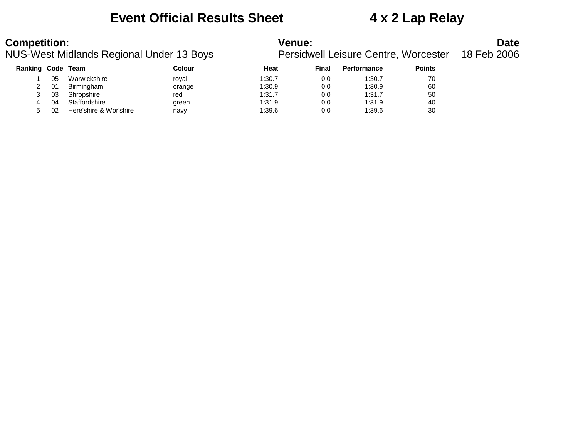### **Event Official Results Sheet 4 x 2 Lap Relay**

| <b>Competition:</b> |  |  |
|---------------------|--|--|
|                     |  |  |

### NUS-West Midlands Regional Under 13 Boys

| <b>Competition:</b>                      | <b>Venue:</b>                                    | <b>Date</b> |
|------------------------------------------|--------------------------------------------------|-------------|
| NUS-West Midlands Regional Under 13 Boys | Persidwell Leisure Centre, Worcester 18 Feb 2006 |             |

| Ranking Code |    | Team                   | Colour | Heat   | <b>Final</b> | <b>Performance</b> | <b>Points</b> |
|--------------|----|------------------------|--------|--------|--------------|--------------------|---------------|
|              | 05 | Warwickshire           | royal  | 1:30.7 | 0.0          | 1:30.7             | 70            |
|              | 01 | Birmingham             | orange | 1:30.9 | 0.0          | 1:30.9             | 60            |
|              | 03 | Shropshire             | red    | 1:31.7 | 0.0          | 1:31.7             | 50            |
|              | 04 | Staffordshire          | green  | 1:31.9 | 0.0          | 1:31.9             | 40            |
|              | 02 | Here'shire & Wor'shire | navy   | 1:39.6 | 0.0          | 1:39.6             | 30            |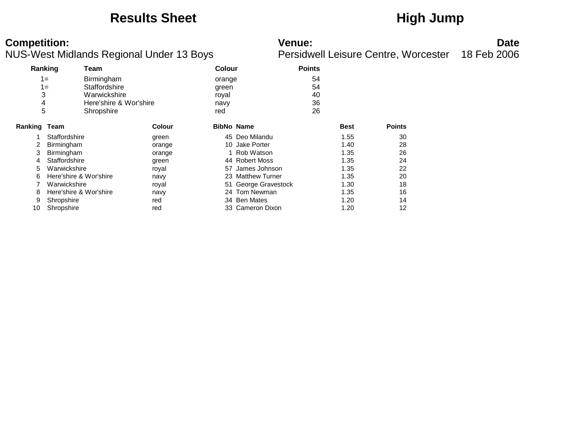### **Results Sheet High Jump**

| Ranking |                        | Team                   |        | <b>Colour</b>     |                      | <b>Points</b> |             |               |
|---------|------------------------|------------------------|--------|-------------------|----------------------|---------------|-------------|---------------|
| $1 =$   |                        | Birmingham             |        | orange            |                      | 54            |             |               |
|         | 1=                     | Staffordshire          |        | green             |                      | 54            |             |               |
| 3       |                        | Warwickshire           |        | royal             |                      | 40            |             |               |
| 4       |                        | Here'shire & Wor'shire |        | navy              |                      | 36            |             |               |
| 5       |                        | Shropshire             |        | red               |                      | 26            |             |               |
| Ranking | Team                   |                        | Colour | <b>BibNo Name</b> |                      |               | <b>Best</b> | <b>Points</b> |
|         | Staffordshire          |                        | green  |                   | 45 Deo Milandu       |               | 1.55        | 30            |
| 2       | Birmingham             |                        | orange |                   | 10 Jake Porter       |               | 1.40        | 28            |
| 3       | Birmingham             |                        | orange |                   | 1 Rob Watson         |               | 1.35        | 26            |
| 4       | Staffordshire          |                        | green  |                   | 44 Robert Moss       |               | 1.35        | 24            |
| 5       | Warwickshire           |                        | royal  |                   | 57 James Johnson     |               | 1.35        | 22            |
| 6       | Here'shire & Wor'shire |                        | navy   |                   | 23 Matthew Turner    |               | 1.35        | 20            |
|         | Warwickshire           |                        | royal  |                   | 51 George Gravestock |               | 1.30        | 18            |
| 8       | Here'shire & Wor'shire |                        | navy   |                   | 24 Tom Newman        |               | 1.35        | 16            |
| 9       | Shropshire             |                        | red    |                   | 34 Ben Mates         |               | 1.20        | 14            |
| 10      | Shropshire             |                        | red    |                   | 33 Cameron Dixon     |               | 1.20        | 12            |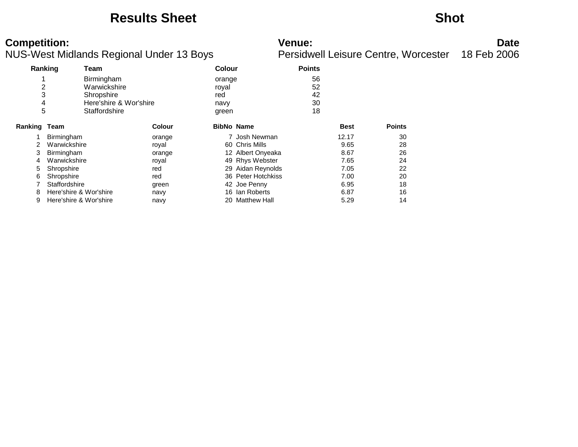### **Results Sheet Shot**

| Ranking             |                        | Team                   |               | <b>Colour</b>     |                     | <b>Points</b> |             |               |
|---------------------|------------------------|------------------------|---------------|-------------------|---------------------|---------------|-------------|---------------|
|                     |                        | Birmingham             |               | orange            |                     | 56            |             |               |
| $\overline{c}$      |                        | Warwickshire           |               | royal             |                     | 52            |             |               |
| 3                   |                        | Shropshire             |               | red               |                     | 42            |             |               |
| 4                   |                        | Here'shire & Wor'shire |               | navy              |                     | 30            |             |               |
| 5                   |                        | Staffordshire          |               | green             |                     | 18            |             |               |
| <b>Ranking Team</b> |                        |                        | <b>Colour</b> | <b>BibNo Name</b> |                     |               | <b>Best</b> | <b>Points</b> |
|                     | Birmingham             |                        | orange        |                   | 7 Josh Newman       |               | 12.17       | 30            |
| 2                   | Warwickshire           |                        | royal         |                   | 60 Chris Mills      |               | 9.65        | 28            |
| 3                   | Birmingham             |                        | orange        |                   | 12 Albert Onyeaka   |               | 8.67        | 26            |
| 4                   | Warwickshire           |                        | royal         |                   | 49 Rhys Webster     |               | 7.65        | 24            |
| 5                   | Shropshire             |                        | red           |                   | 29 Aidan Reynolds   |               | 7.05        | 22            |
| 6                   | Shropshire             |                        | red           |                   | 36 Peter Hotchkiss  |               | 7.00        | 20            |
|                     | Staffordshire          |                        | green         |                   | 42 Joe Penny        |               | 6.95        | 18            |
| 8                   | Here'shire & Wor'shire |                        | navy          |                   | 16 Ian Roberts      |               | 6.87        | 16            |
| 9                   | Here'shire & Wor'shire |                        | navy          | 20                | <b>Matthew Hall</b> |               | 5.29        | 14            |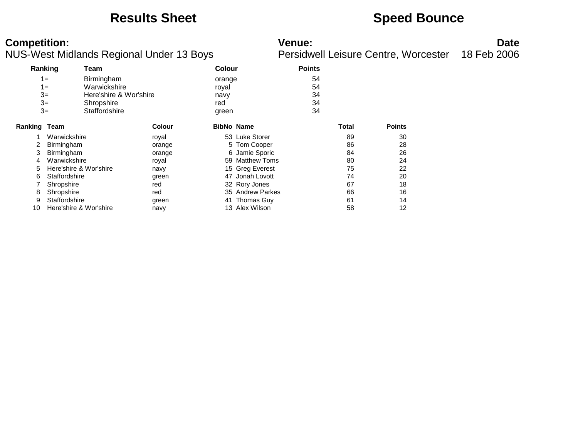### **Results Sheet Speed Bounce**

| Ranking      |                        | Team                   |               |        | Colour            |    |       |               |
|--------------|------------------------|------------------------|---------------|--------|-------------------|----|-------|---------------|
|              | $1 =$                  | Birmingham             |               | orange |                   | 54 |       |               |
|              | $1 =$                  | Warwickshire           |               | royal  |                   | 54 |       |               |
|              | $3=$                   | Here'shire & Wor'shire |               | navy   |                   | 34 |       |               |
|              | $3=$                   | Shropshire             |               | red    |                   | 34 |       |               |
|              | $3=$                   | Staffordshire          |               | green  |                   | 34 |       |               |
| Ranking Team |                        |                        | <b>Colour</b> |        | <b>BibNo Name</b> |    | Total | <b>Points</b> |
|              | Warwickshire           |                        | royal         |        | 53 Luke Storer    |    | 89    | 30            |
| 2            | Birmingham             |                        | orange        |        | 5 Tom Cooper      |    | 86    | 28            |
| 3            | Birmingham             |                        | orange        |        | 6 Jamie Sporic    |    | 84    | 26            |
| 4            | Warwickshire           |                        | royal         |        | 59 Matthew Toms   |    | 80    | 24            |
| 5            | Here'shire & Wor'shire |                        | navy          |        | 15 Greg Everest   |    | 75    | 22            |
| 6            | Staffordshire          |                        | green         |        | 47 Jonah Lovott   |    | 74    | 20            |
|              | Shropshire             |                        | red           |        | 32 Rory Jones     |    | 67    | 18            |
| 8            | Shropshire             |                        | red           |        | 35 Andrew Parkes  |    | 66    | 16            |
| 9            | Staffordshire          |                        | green         |        | 41 Thomas Guy     |    | 61    | 14            |
| 10           | Here'shire & Wor'shire |                        | navy          |        | 13 Alex Wilson    |    | 58    | 12            |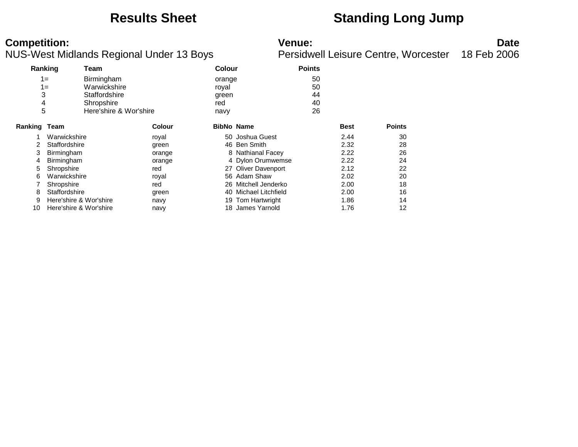## **Results Sheet Standing Long Jump**

| Ranking      |                        | Team                   |        | <b>Colour</b> |                      | <b>Points</b> |             |               |
|--------------|------------------------|------------------------|--------|---------------|----------------------|---------------|-------------|---------------|
|              | $1 =$                  | Birmingham             |        | orange        |                      | 50            |             |               |
|              | $1 =$                  | Warwickshire           |        | royal         |                      | 50            |             |               |
| 3            |                        | Staffordshire          |        | green         |                      | 44            |             |               |
| 4            |                        | Shropshire             |        | red           |                      | 40            |             |               |
| 5            |                        | Here'shire & Wor'shire |        | navy          |                      | 26            |             |               |
| Ranking Team |                        |                        | Colour |               | <b>BibNo Name</b>    |               | <b>Best</b> | <b>Points</b> |
|              | Warwickshire           |                        | royal  |               | 50 Joshua Guest      |               | 2.44        | 30            |
|              | Staffordshire          |                        | green  |               | 46 Ben Smith         |               | 2.32        | 28            |
| 3            | Birmingham             |                        | orange |               | 8 Nathianal Facey    |               | 2.22        | 26            |
| 4            | Birmingham             |                        | orange |               | 4 Dylon Orumwemse    |               | 2.22        | 24            |
| 5            | Shropshire             |                        | red    |               | 27 Oliver Davenport  |               | 2.12        | 22            |
| 6            | Warwickshire           |                        | royal  |               | 56 Adam Shaw         |               | 2.02        | 20            |
|              | Shropshire             |                        | red    |               | 26 Mitchell Jenderko |               | 2.00        | 18            |
| 8            | Staffordshire          |                        | green  | 40            | Michael Litchfield   |               | 2.00        | 16            |
| 9            | Here'shire & Wor'shire |                        | navy   |               | 19 Tom Hartwright    |               | 1.86        | 14            |
| 10           | Here'shire & Wor'shire |                        | navy   |               | 18 James Yarnold     |               | 1.76        | 12            |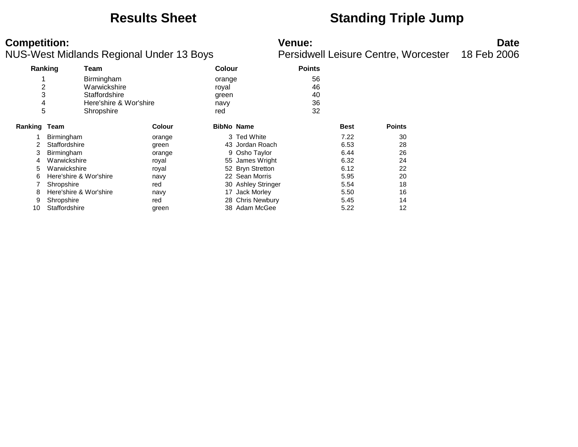### **Results Sheet Standing Triple Jump**

|                | Ranking<br>Team        |                        | <b>Colour</b>     | <b>Points</b>      |             |               |
|----------------|------------------------|------------------------|-------------------|--------------------|-------------|---------------|
| 4              |                        | Birmingham             | orange            |                    | 56          |               |
| $\overline{2}$ |                        | Warwickshire           | royal             |                    | 46          |               |
| 3              |                        | Staffordshire          | green             |                    | 40          |               |
| 4              |                        | Here'shire & Wor'shire | navy              |                    | 36          |               |
| 5              |                        | Shropshire             | red               |                    | 32          |               |
| Ranking Team   |                        | Colour                 | <b>BibNo Name</b> |                    | <b>Best</b> | <b>Points</b> |
|                | <b>Birmingham</b>      | orange                 |                   | 3 Ted White        | 7.22        | 30            |
|                | Staffordshire          | green                  |                   | 43 Jordan Roach    | 6.53        | 28            |
| 3              | Birmingham             | orange                 |                   | 9 Osho Taylor      | 6.44        | 26            |
| 4              | Warwickshire           | royal                  |                   | 55 James Wright    | 6.32        | 24            |
| 5              | Warwickshire           | royal                  |                   | 52 Bryn Stretton   | 6.12        | 22            |
| 6              | Here'shire & Wor'shire | navy                   |                   | 22 Sean Morris     | 5.95        | 20            |
|                | Shropshire             | red                    |                   | 30 Ashley Stringer | 5.54        | 18            |
| 8              | Here'shire & Wor'shire | navy                   | 17                | Jack Morley        | 5.50        | 16            |
| 9              | Shropshire             | red                    |                   | 28 Chris Newbury   | 5.45        | 14            |
| 10             | Staffordshire          | green                  |                   | 38 Adam McGee      | 5.22        | 12            |